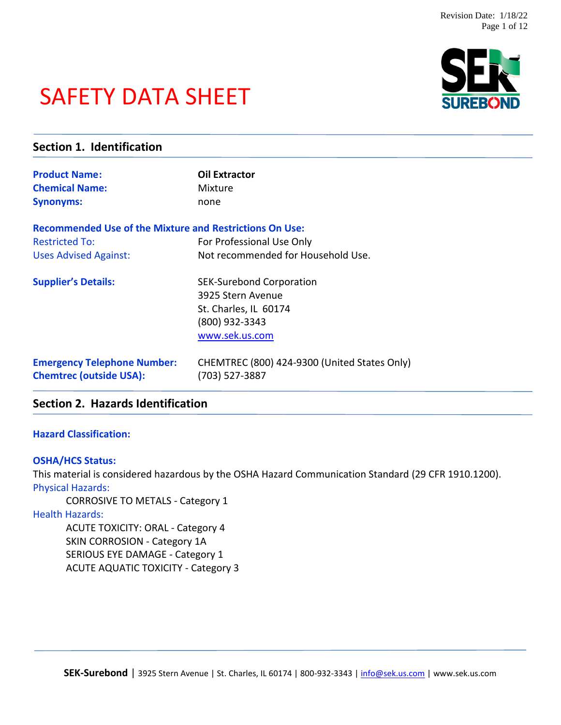# SAFETY DATA SHEET



| Section 1. Identification                                            |                                                                |  |
|----------------------------------------------------------------------|----------------------------------------------------------------|--|
| <b>Product Name:</b>                                                 | <b>Oil Extractor</b>                                           |  |
| <b>Chemical Name:</b>                                                | Mixture                                                        |  |
| <b>Synonyms:</b>                                                     | none                                                           |  |
| <b>Recommended Use of the Mixture and Restrictions On Use:</b>       |                                                                |  |
| <b>Restricted To:</b>                                                | For Professional Use Only                                      |  |
| <b>Uses Advised Against:</b>                                         | Not recommended for Household Use.                             |  |
| <b>Supplier's Details:</b>                                           | <b>SEK-Surebond Corporation</b>                                |  |
|                                                                      | 3925 Stern Avenue                                              |  |
|                                                                      | St. Charles, IL 60174                                          |  |
|                                                                      | (800) 932-3343                                                 |  |
|                                                                      | www.sek.us.com                                                 |  |
| <b>Emergency Telephone Number:</b><br><b>Chemtrec (outside USA):</b> | CHEMTREC (800) 424-9300 (United States Only)<br>(703) 527-3887 |  |
|                                                                      |                                                                |  |

# **Section 2. Hazards Identification**

## **Hazard Classification:**

#### **OSHA/HCS Status:**

This material is considered hazardous by the OSHA Hazard Communication Standard (29 CFR 1910.1200). Physical Hazards:

CORROSIVE TO METALS - Category 1

Health Hazards:

ACUTE TOXICITY: ORAL - Category 4 SKIN CORROSION - Category 1A SERIOUS EYE DAMAGE - Category 1 ACUTE AQUATIC TOXICITY - Category 3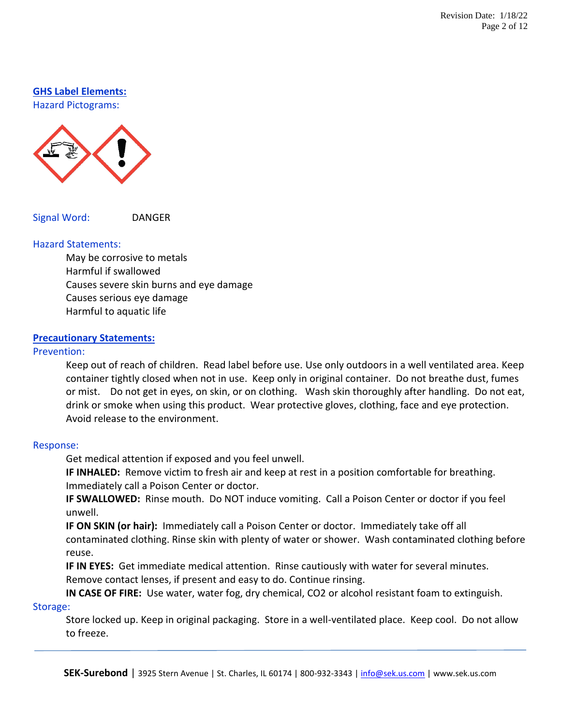#### **GHS Label Elements:**

Hazard Pictograms:



Signal Word: DANGER

#### Hazard Statements:

May be corrosive to metals Harmful if swallowed Causes severe skin burns and eye damage Causes serious eye damage Harmful to aquatic life

#### **Precautionary Statements:**

#### Prevention:

Keep out of reach of children. Read label before use. Use only outdoors in a well ventilated area. Keep container tightly closed when not in use. Keep only in original container. Do not breathe dust, fumes or mist. Do not get in eyes, on skin, or on clothing. Wash skin thoroughly after handling. Do not eat, drink or smoke when using this product. Wear protective gloves, clothing, face and eye protection. Avoid release to the environment.

#### Response:

Get medical attention if exposed and you feel unwell.

**IF INHALED:** Remove victim to fresh air and keep at rest in a position comfortable for breathing. Immediately call a Poison Center or doctor.

**IF SWALLOWED:** Rinse mouth. Do NOT induce vomiting. Call a Poison Center or doctor if you feel unwell.

**IF ON SKIN (or hair):** Immediately call a Poison Center or doctor. Immediately take off all contaminated clothing. Rinse skin with plenty of water or shower. Wash contaminated clothing before reuse.

**IF IN EYES:** Get immediate medical attention. Rinse cautiously with water for several minutes. Remove contact lenses, if present and easy to do. Continue rinsing.

**IN CASE OF FIRE:** Use water, water fog, dry chemical, CO2 or alcohol resistant foam to extinguish. Storage:

Store locked up. Keep in original packaging. Store in a well-ventilated place. Keep cool. Do not allow to freeze.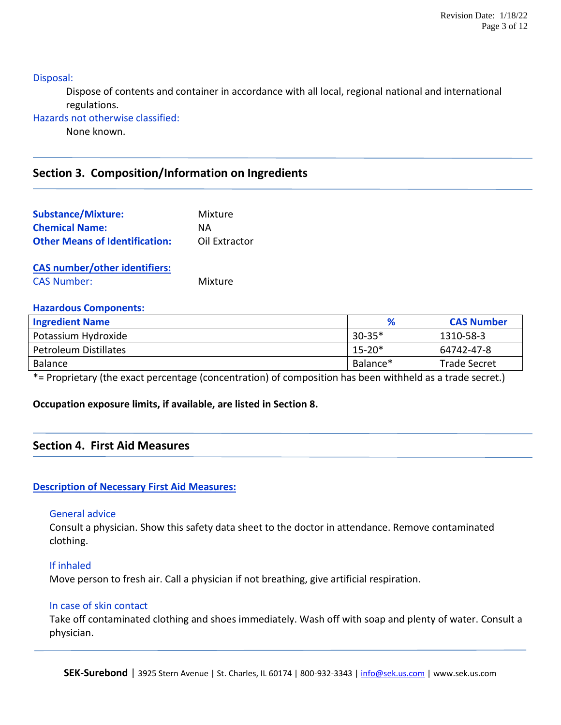Disposal:

Dispose of contents and container in accordance with all local, regional national and international regulations.

Hazards not otherwise classified:

None known.

# **Section 3. Composition/Information on Ingredients**

| <b>Substance/Mixture:</b>             | Mixture       |
|---------------------------------------|---------------|
| <b>Chemical Name:</b>                 | NА            |
| <b>Other Means of Identification:</b> | Oil Extractor |
| <b>CAS number/other identifiers:</b>  |               |
| <b>CAS Number:</b>                    | Mixture       |

#### **Hazardous Components:**

| <b>Ingredient Name</b>       | %          | <b>CAS Number</b>   |
|------------------------------|------------|---------------------|
| Potassium Hydroxide          | $30 - 35*$ | 1310-58-3           |
| <b>Petroleum Distillates</b> | $15 - 20*$ | 64742-47-8          |
| Balance                      | Balance*   | <b>Trade Secret</b> |

\*= Proprietary (the exact percentage (concentration) of composition has been withheld as a trade secret.)

## **Occupation exposure limits, if available, are listed in Section 8.**

# **Section 4. First Aid Measures**

## **Description of Necessary First Aid Measures:**

#### General advice

Consult a physician. Show this safety data sheet to the doctor in attendance. Remove contaminated clothing.

#### If inhaled

Move person to fresh air. Call a physician if not breathing, give artificial respiration.

#### In case of skin contact

Take off contaminated clothing and shoes immediately. Wash off with soap and plenty of water. Consult a physician.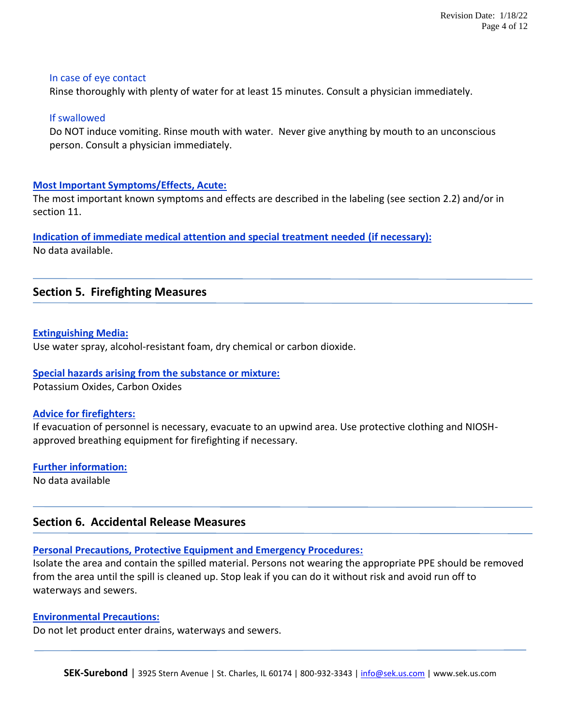#### In case of eye contact

Rinse thoroughly with plenty of water for at least 15 minutes. Consult a physician immediately.

#### If swallowed

Do NOT induce vomiting. Rinse mouth with water. Never give anything by mouth to an unconscious person. Consult a physician immediately.

#### **Most Important Symptoms/Effects, Acute:**

The most important known symptoms and effects are described in the labeling (see section 2.2) and/or in section 11.

# **Indication of immediate medical attention and special treatment needed (if necessary):**

No data available.

# **Section 5. Firefighting Measures**

#### **Extinguishing Media:**

Use water spray, alcohol-resistant foam, dry chemical or carbon dioxide.

#### **Special hazards arising from the substance or mixture:**

Potassium Oxides, Carbon Oxides

#### **Advice for firefighters:**

If evacuation of personnel is necessary, evacuate to an upwind area. Use protective clothing and NIOSHapproved breathing equipment for firefighting if necessary.

# **Further information:**

No data available

# **Section 6. Accidental Release Measures**

## **Personal Precautions, Protective Equipment and Emergency Procedures:**

Isolate the area and contain the spilled material. Persons not wearing the appropriate PPE should be removed from the area until the spill is cleaned up. Stop leak if you can do it without risk and avoid run off to waterways and sewers.

## **Environmental Precautions:**

Do not let product enter drains, waterways and sewers.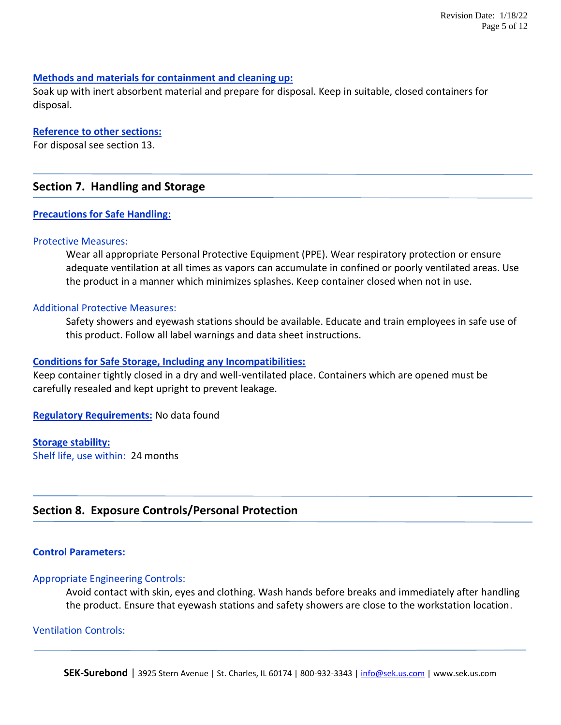#### **Methods and materials for containment and cleaning up:**

Soak up with inert absorbent material and prepare for disposal. Keep in suitable, closed containers for disposal.

#### **Reference to other sections:**

For disposal see section 13.

# **Section 7. Handling and Storage**

#### **Precautions for Safe Handling:**

#### Protective Measures:

Wear all appropriate Personal Protective Equipment (PPE). Wear respiratory protection or ensure adequate ventilation at all times as vapors can accumulate in confined or poorly ventilated areas. Use the product in a manner which minimizes splashes. Keep container closed when not in use.

#### Additional Protective Measures:

Safety showers and eyewash stations should be available. Educate and train employees in safe use of this product. Follow all label warnings and data sheet instructions.

#### **Conditions for Safe Storage, Including any Incompatibilities:**

Keep container tightly closed in a dry and well-ventilated place. Containers which are opened must be carefully resealed and kept upright to prevent leakage.

**Regulatory Requirements:** No data found

#### **Storage stability:**

Shelf life, use within: 24 months

# **Section 8. Exposure Controls/Personal Protection**

#### **Control Parameters:**

#### Appropriate Engineering Controls:

Avoid contact with skin, eyes and clothing. Wash hands before breaks and immediately after handling the product. Ensure that eyewash stations and safety showers are close to the workstation location.

#### Ventilation Controls: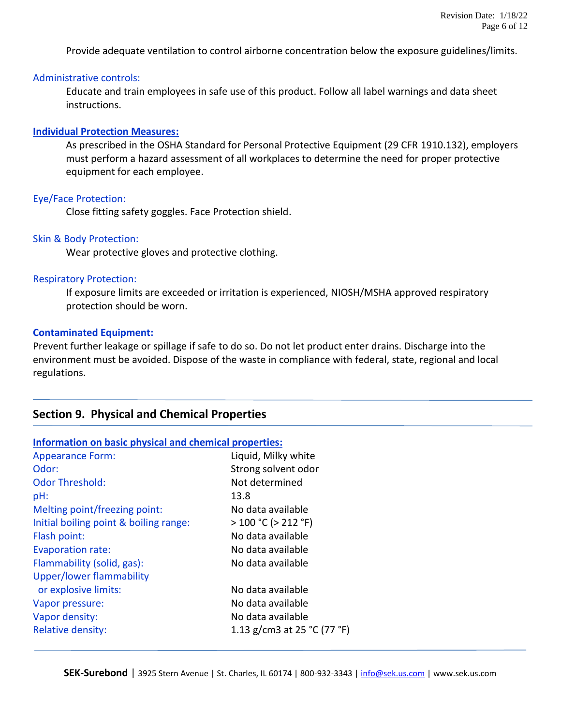Provide adequate ventilation to control airborne concentration below the exposure guidelines/limits.

#### Administrative controls:

Educate and train employees in safe use of this product. Follow all label warnings and data sheet instructions.

#### **Individual Protection Measures:**

As prescribed in the OSHA Standard for Personal Protective Equipment (29 CFR 1910.132), employers must perform a hazard assessment of all workplaces to determine the need for proper protective equipment for each employee.

#### Eye/Face Protection:

Close fitting safety goggles. Face Protection shield.

#### Skin & Body Protection:

Wear protective gloves and protective clothing.

#### Respiratory Protection:

If exposure limits are exceeded or irritation is experienced, NIOSH/MSHA approved respiratory protection should be worn.

#### **Contaminated Equipment:**

Prevent further leakage or spillage if safe to do so. Do not let product enter drains. Discharge into the environment must be avoided. Dispose of the waste in compliance with federal, state, regional and local regulations.

# **Section 9. Physical and Chemical Properties**

| Information on basic physical and chemical properties: |                             |  |
|--------------------------------------------------------|-----------------------------|--|
| <b>Appearance Form:</b>                                | Liquid, Milky white         |  |
| Odor:                                                  | Strong solvent odor         |  |
| <b>Odor Threshold:</b>                                 | Not determined              |  |
| pH:                                                    | 13.8                        |  |
| Melting point/freezing point:                          | No data available           |  |
| Initial boiling point & boiling range:                 | $>100 °C$ ( $>212 °F$ )     |  |
| Flash point:                                           | No data available           |  |
| <b>Evaporation rate:</b>                               | No data available           |  |
| Flammability (solid, gas):                             | No data available           |  |
| <b>Upper/lower flammability</b>                        |                             |  |
| or explosive limits:                                   | No data available           |  |
| Vapor pressure:                                        | No data available           |  |
| Vapor density:                                         | No data available           |  |
| <b>Relative density:</b>                               | 1.13 g/cm3 at 25 °C (77 °F) |  |
|                                                        |                             |  |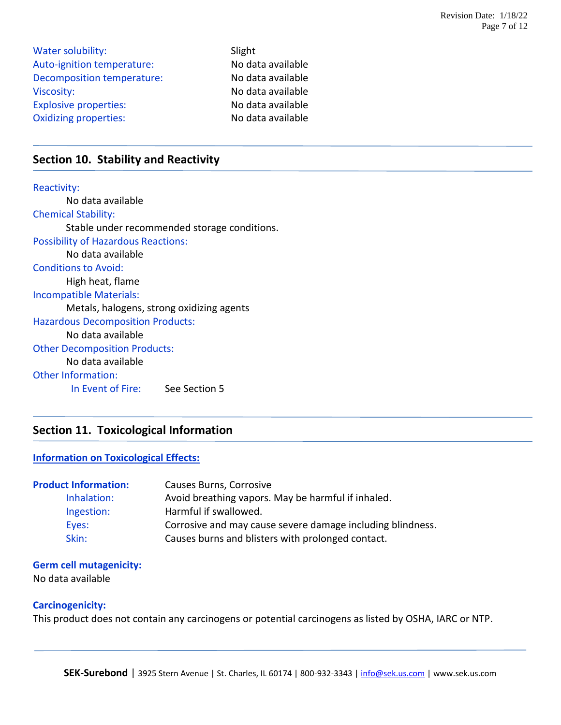| <b>Water solubility:</b>     | Slight            |
|------------------------------|-------------------|
| Auto-ignition temperature:   | No data available |
| Decomposition temperature:   | No data available |
| Viscosity:                   | No data available |
| <b>Explosive properties:</b> | No data available |
| <b>Oxidizing properties:</b> | No data available |

# **Section 10. Stability and Reactivity**

Reactivity: No data available Chemical Stability: Stable under recommended storage conditions. Possibility of Hazardous Reactions: No data available Conditions to Avoid: High heat, flame Incompatible Materials: Metals, halogens, strong oxidizing agents Hazardous Decomposition Products: No data available Other Decomposition Products: No data available Other Information: In Event of Fire: See Section 5

# **Section 11. Toxicological Information**

#### **Information on Toxicological Effects:**

| <b>Product Information:</b> | Causes Burns, Corrosive                                    |
|-----------------------------|------------------------------------------------------------|
| Inhalation:                 | Avoid breathing vapors. May be harmful if inhaled.         |
| Ingestion:                  | Harmful if swallowed.                                      |
| Eves:                       | Corrosive and may cause severe damage including blindness. |
| Skin:                       | Causes burns and blisters with prolonged contact.          |

# **Germ cell mutagenicity:**

No data available

#### **Carcinogenicity:**

This product does not contain any carcinogens or potential carcinogens as listed by OSHA, IARC or NTP.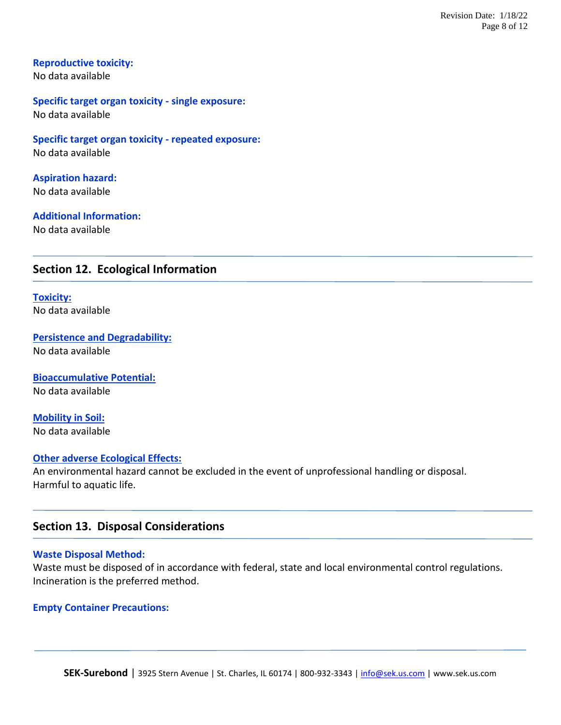#### **Reproductive toxicity:**

No data available

#### **Specific target organ toxicity - single exposure:** No data available

**Specific target organ toxicity - repeated exposure:** No data available

**Aspiration hazard:** No data available

## **Additional Information:**

No data available

# **Section 12. Ecological Information**

**Toxicity:** No data available

**Persistence and Degradability:** No data available

**Bioaccumulative Potential:** No data available

**Mobility in Soil:** No data available

#### **Other adverse Ecological Effects:**

An environmental hazard cannot be excluded in the event of unprofessional handling or disposal. Harmful to aquatic life.

## **Section 13. Disposal Considerations**

#### **Waste Disposal Method:**

Waste must be disposed of in accordance with federal, state and local environmental control regulations. Incineration is the preferred method.

#### **Empty Container Precautions:**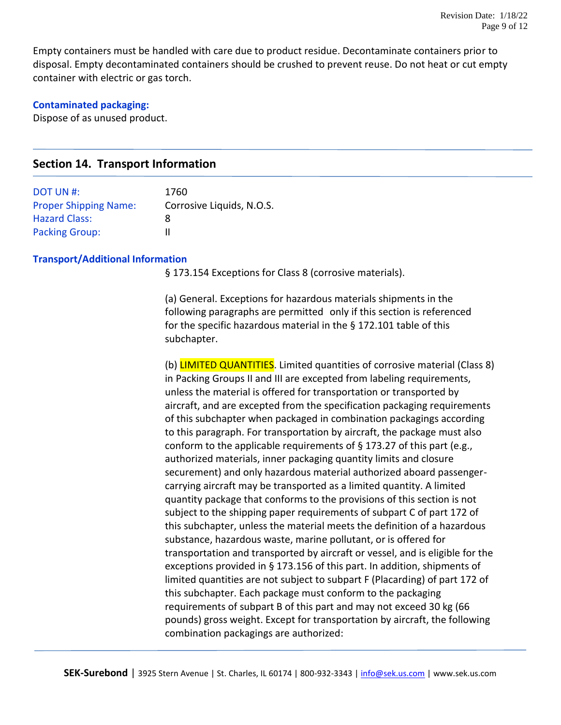Empty containers must be handled with care due to product residue. Decontaminate containers prior to disposal. Empty decontaminated containers should be crushed to prevent reuse. Do not heat or cut empty container with electric or gas torch.

#### **Contaminated packaging:**

Dispose of as unused product.

# **Section 14. Transport Information**

| DOT UN #:                    | 1760                      |
|------------------------------|---------------------------|
| <b>Proper Shipping Name:</b> | Corrosive Liquids, N.O.S. |
| <b>Hazard Class:</b>         | 8                         |
| <b>Packing Group:</b>        |                           |

#### **Transport/Additional Information**

§ 173.154 Exceptions for Class 8 (corrosive materials).

(a) General. Exceptions for hazardous materials shipments in the following paragraphs are permitted only if this section is referenced for the specific hazardous material in the § 172.101 table of this subchapter.

(b) **LIMITED QUANTITIES**. Limited quantities of corrosive material (Class 8) in Packing Groups II and III are excepted from labeling requirements, unless the material is offered for transportation or transported by aircraft, and are excepted from the specification packaging requirements of this subchapter when packaged in combination packagings according to this paragraph. For transportation by aircraft, the package must also conform to the applicable requirements of § 173.27 of this part (e.g., authorized materials, inner packaging quantity limits and closure securement) and only hazardous material authorized aboard passengercarrying aircraft may be transported as a limited quantity. A limited quantity package that conforms to the provisions of this section is not subject to the shipping paper requirements of subpart C of part 172 of this subchapter, unless the material meets the definition of a hazardous substance, hazardous waste, marine pollutant, or is offered for transportation and transported by aircraft or vessel, and is eligible for the exceptions provided in § 173.156 of this part. In addition, shipments of limited quantities are not subject to subpart F (Placarding) of part 172 of this subchapter. Each package must conform to the packaging requirements of subpart B of this part and may not exceed 30 kg (66 pounds) gross weight. Except for transportation by aircraft, the following combination packagings are authorized: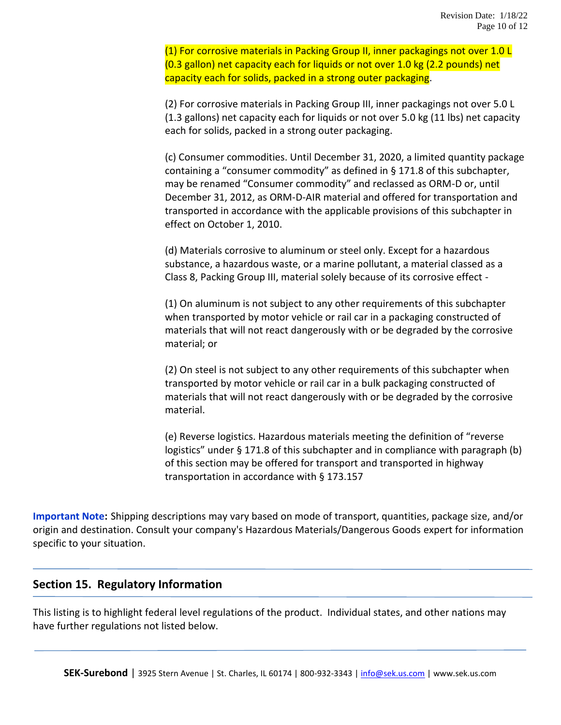(1) For corrosive materials in Packing Group II, inner packagings not over 1.0 L (0.3 gallon) net capacity each for liquids or not over 1.0 kg (2.2 pounds) net capacity each for solids, packed in a strong outer packaging.

(2) For corrosive materials in Packing Group III, inner packagings not over 5.0 L (1.3 gallons) net capacity each for liquids or not over 5.0 kg (11 lbs) net capacity each for solids, packed in a strong outer packaging.

(c) Consumer commodities. Until December 31, 2020, a limited quantity package containing a "consumer commodity" as defined in § 171.8 of this subchapter, may be renamed "Consumer commodity" and reclassed as ORM-D or, until December 31, 2012, as ORM-D-AIR material and offered for transportation and transported in accordance with the applicable provisions of this subchapter in effect on October 1, 2010.

(d) Materials corrosive to aluminum or steel only. Except for a hazardous substance, a hazardous waste, or a marine pollutant, a material classed as a Class 8, Packing Group III, material solely because of its corrosive effect -

(1) On aluminum is not subject to any other requirements of this subchapter when transported by motor vehicle or rail car in a packaging constructed of materials that will not react dangerously with or be degraded by the corrosive material; or

(2) On steel is not subject to any other requirements of this subchapter when transported by motor vehicle or rail car in a bulk packaging constructed of materials that will not react dangerously with or be degraded by the corrosive material.

(e) Reverse logistics. Hazardous materials meeting the definition of "reverse logistics" under § 171.8 of this subchapter and in compliance with paragraph (b) of this section may be offered for transport and transported in highway transportation in accordance with § 173.157

**Important Note:** Shipping descriptions may vary based on mode of transport, quantities, package size, and/or origin and destination. Consult your company's Hazardous Materials/Dangerous Goods expert for information specific to your situation.

# **Section 15. Regulatory Information**

This listing is to highlight federal level regulations of the product. Individual states, and other nations may have further regulations not listed below.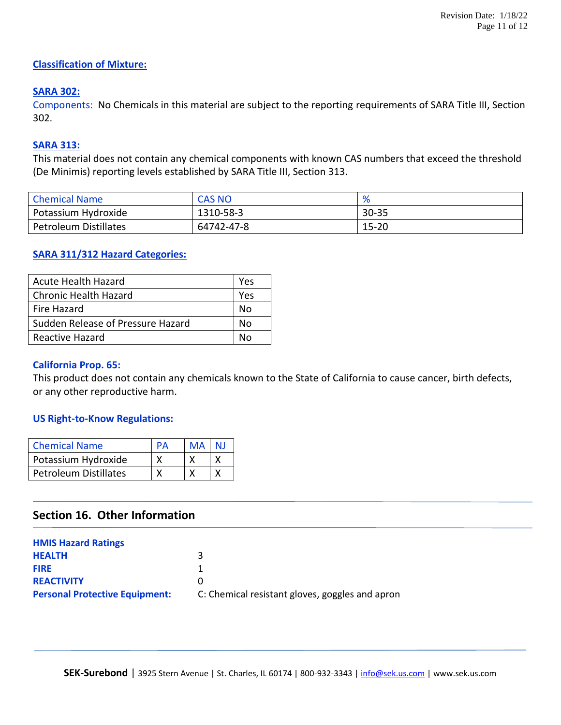# **Classification of Mixture:**

# **SARA 302:**

Components: No Chemicals in this material are subject to the reporting requirements of SARA Title III, Section 302.

# **SARA 313:**

This material does not contain any chemical components with known CAS numbers that exceed the threshold (De Minimis) reporting levels established by SARA Title III, Section 313.

| <b>Chemical Name</b>  | <b>CAS NO</b> | %         |
|-----------------------|---------------|-----------|
| Potassium Hydroxide   | 1310-58-3     | $30 - 35$ |
| Petroleum Distillates | 64742-47-8    | $15 - 20$ |

# **SARA 311/312 Hazard Categories:**

| <b>Acute Health Hazard</b>        | Yes |
|-----------------------------------|-----|
| <b>Chronic Health Hazard</b>      | Yes |
| Fire Hazard                       | N٥  |
| Sudden Release of Pressure Hazard | N٥  |
| Reactive Hazard                   | N۵  |

#### **California Prop. 65:**

This product does not contain any chemicals known to the State of California to cause cancer, birth defects, or any other reproductive harm.

## **US Right-to-Know Regulations:**

| <b>Chemical Name</b>         | PΔ | MA | NJ |
|------------------------------|----|----|----|
| Potassium Hydroxide          |    |    |    |
| <b>Petroleum Distillates</b> |    |    |    |

# **Section 16. Other Information**

| <b>HMIS Hazard Ratings</b>            |                                                 |
|---------------------------------------|-------------------------------------------------|
| <b>HEALTH</b>                         | ર                                               |
| <b>FIRE</b>                           |                                                 |
| <b>REACTIVITY</b>                     | $\mathbf{I}$                                    |
| <b>Personal Protective Equipment:</b> | C: Chemical resistant gloves, goggles and apron |